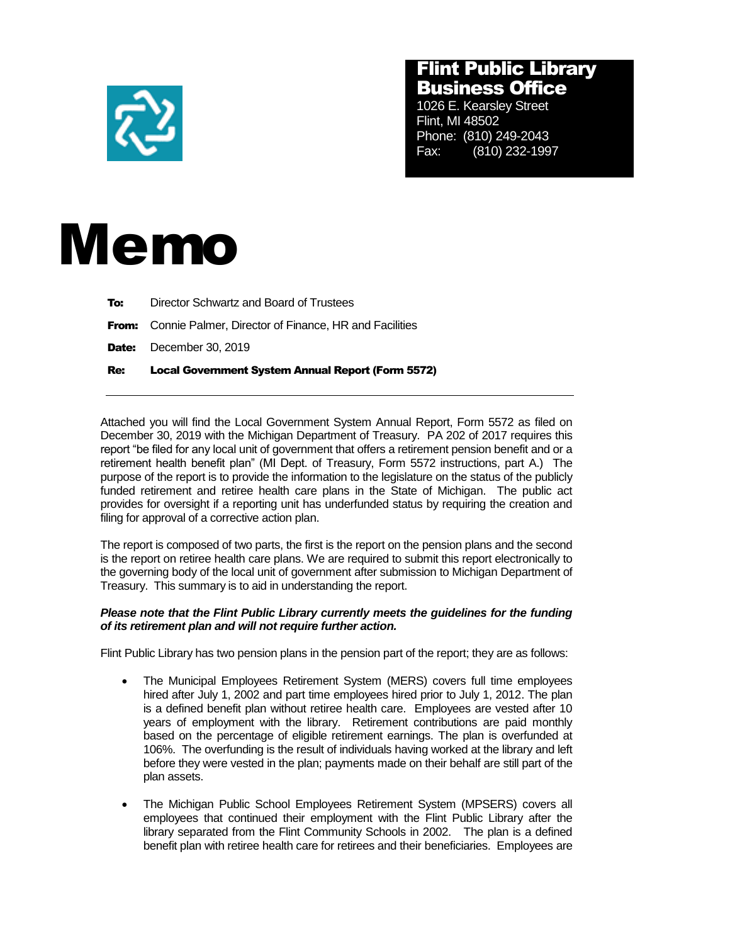

## Flint Public Library Business Office

1026 E. Kearsley Street Flint, MI 48502 Phone: (810) 249-2043 Fax: (810) 232-1997



| Re: | <b>Local Government System Annual Report (Form 5572)</b>           |
|-----|--------------------------------------------------------------------|
|     | <b>Date:</b> December 30, 2019                                     |
|     | <b>From:</b> Connie Palmer, Director of Finance, HR and Facilities |
| To: | Director Schwartz and Board of Trustees                            |

Attached you will find the Local Government System Annual Report, Form 5572 as filed on December 30, 2019 with the Michigan Department of Treasury. PA 202 of 2017 requires this report "be filed for any local unit of government that offers a retirement pension benefit and or a retirement health benefit plan" (MI Dept. of Treasury, Form 5572 instructions, part A.) The purpose of the report is to provide the information to the legislature on the status of the publicly funded retirement and retiree health care plans in the State of Michigan. The public act provides for oversight if a reporting unit has underfunded status by requiring the creation and filing for approval of a corrective action plan.

The report is composed of two parts, the first is the report on the pension plans and the second is the report on retiree health care plans. We are required to submit this report electronically to the governing body of the local unit of government after submission to Michigan Department of Treasury. This summary is to aid in understanding the report.

## *Please note that the Flint Public Library currently meets the guidelines for the funding of its retirement plan and will not require further action.*

Flint Public Library has two pension plans in the pension part of the report; they are as follows:

- The Municipal Employees Retirement System (MERS) covers full time employees hired after July 1, 2002 and part time employees hired prior to July 1, 2012. The plan is a defined benefit plan without retiree health care. Employees are vested after 10 years of employment with the library. Retirement contributions are paid monthly based on the percentage of eligible retirement earnings. The plan is overfunded at 106%. The overfunding is the result of individuals having worked at the library and left before they were vested in the plan; payments made on their behalf are still part of the plan assets.
- The Michigan Public School Employees Retirement System (MPSERS) covers all employees that continued their employment with the Flint Public Library after the library separated from the Flint Community Schools in 2002. The plan is a defined benefit plan with retiree health care for retirees and their beneficiaries. Employees are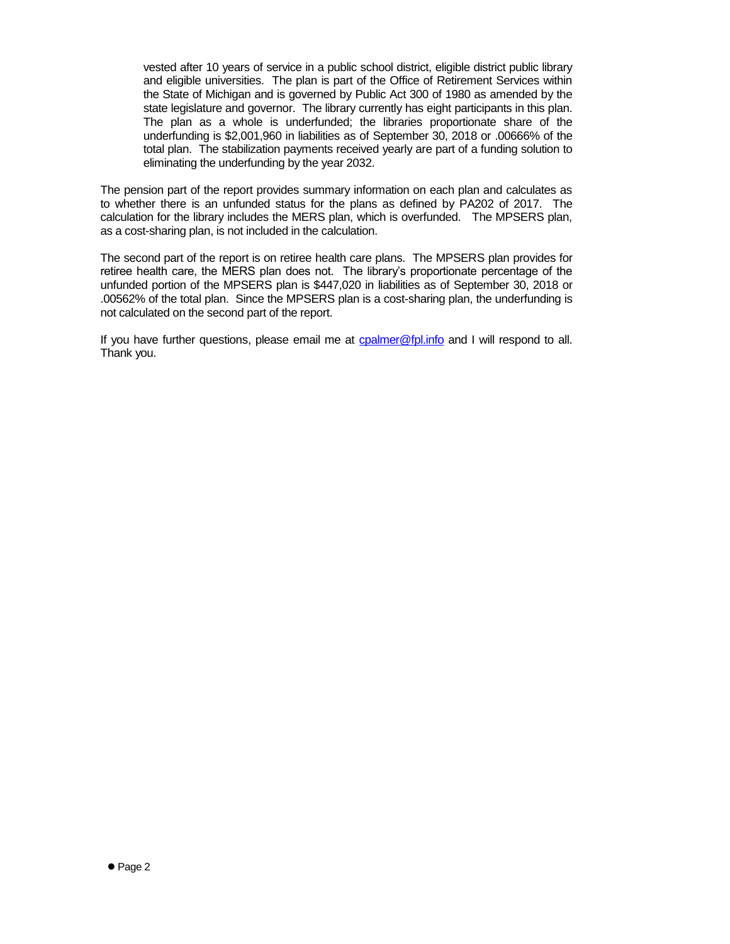vested after 10 years of service in a public school district, eligible district public library and eligible universities. The plan is part of the Office of Retirement Services within the State of Michigan and is governed by Public Act 300 of 1980 as amended by the state legislature and governor. The library currently has eight participants in this plan. The plan as a whole is underfunded; the libraries proportionate share of the underfunding is \$2,001,960 in liabilities as of September 30, 2018 or .00666% of the total plan. The stabilization payments received yearly are part of a funding solution to eliminating the underfunding by the year 2032.

The pension part of the report provides summary information on each plan and calculates as to whether there is an unfunded status for the plans as defined by PA202 of 2017. The calculation for the library includes the MERS plan, which is overfunded. The MPSERS plan, as a cost-sharing plan, is not included in the calculation.

The second part of the report is on retiree health care plans. The MPSERS plan provides for retiree health care, the MERS plan does not. The library's proportionate percentage of the unfunded portion of the MPSERS plan is \$447,020 in liabilities as of September 30, 2018 or .00562% of the total plan. Since the MPSERS plan is a cost-sharing plan, the underfunding is not calculated on the second part of the report.

If you have further questions, please email me at [cpalmer@fpl.info](mailto:cpalmer@fpl.info) and I will respond to all. Thank you.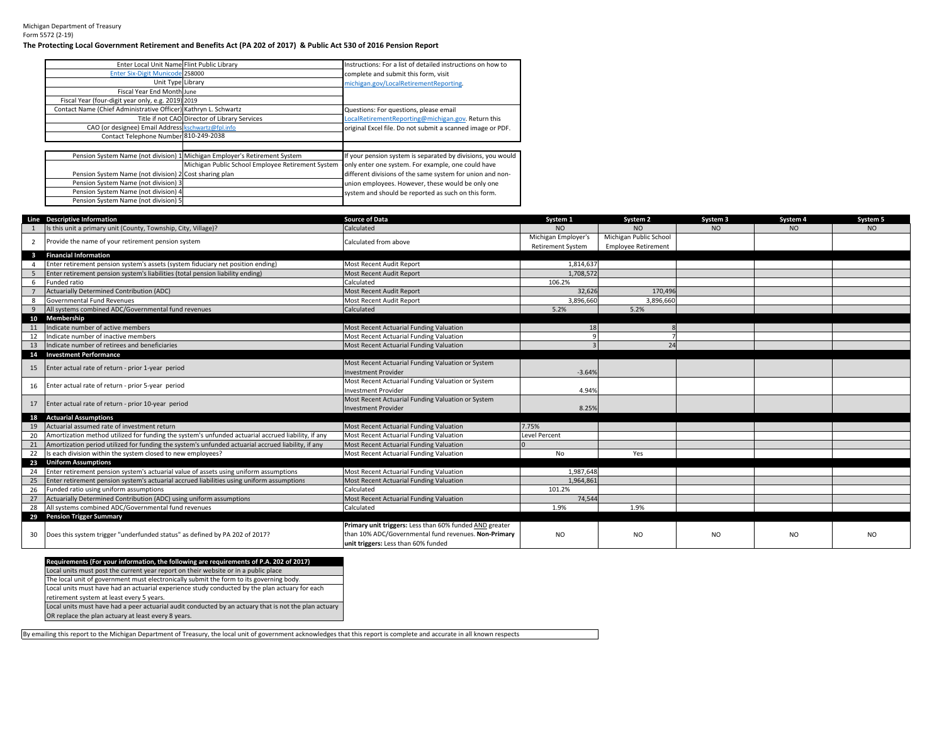## Michigan Department of TreasuryForm 5572 (2-19)

## **The Protecting Local Government Retirement and Benefits Act (PA 202 of 2017) & Public Act 530 of 2016 Pension Report**

| Enter Local Unit Name Flint Public Library                      |                                                                            | Instructions: For a list of detailed instructions on how to |
|-----------------------------------------------------------------|----------------------------------------------------------------------------|-------------------------------------------------------------|
| Enter Six-Digit Municode 258000                                 |                                                                            | complete and submit this form, visit                        |
| Unit Type Library                                               |                                                                            | michigan.gov/LocalRetirementReporting.                      |
| Fiscal Year End Month June                                      |                                                                            |                                                             |
| Fiscal Year (four-digit year only, e.g. 2019) 2019              |                                                                            |                                                             |
| Contact Name (Chief Administrative Officer) Kathryn L. Schwartz |                                                                            | Questions: For questions, please email                      |
|                                                                 | Title if not CAO Director of Library Services                              | LocalRetirementReporting@michigan.gov. Return this          |
| CAO (or designee) Email Address kschwartz@fpl.info              |                                                                            | original Excel file. Do not submit a scanned image or PDF.  |
| Contact Telephone Number 810-249-2038                           |                                                                            |                                                             |
|                                                                 |                                                                            |                                                             |
|                                                                 | Pension System Name (not division) 1 Michigan Employer's Retirement System | If your pension system is separated by divisions, you would |
|                                                                 | Michigan Public School Employee Retirement System                          | only enter one system. For example, one could have          |
| Pension System Name (not division) 2 Cost sharing plan          |                                                                            | different divisions of the same system for union and non-   |
| Pension System Name (not division) 3                            |                                                                            | union employees. However, these would be only one           |
| Pension System Name (not division) 4                            |                                                                            | system and should be reported as such on this form.         |
| Pension System Name (not division) 5                            |                                                                            |                                                             |

|                         | Line Descriptive Information                                                                       | <b>Source of Data</b>                                   | System 1                                        | System <sub>2</sub>                                  | System 3  | System 4 | System 5  |
|-------------------------|----------------------------------------------------------------------------------------------------|---------------------------------------------------------|-------------------------------------------------|------------------------------------------------------|-----------|----------|-----------|
|                         | Is this unit a primary unit (County, Township, City, Village)?                                     | Calculated                                              | NO.                                             | NO.                                                  | NO.       | NO.      | NO.       |
| $\overline{2}$          | Provide the name of your retirement pension system                                                 | Calculated from above                                   | Michigan Employer's<br><b>Retirement System</b> | Michigan Public School<br><b>Employee Retirement</b> |           |          |           |
| $\overline{\mathbf{3}}$ | <b>Financial Information</b>                                                                       |                                                         |                                                 |                                                      |           |          |           |
| 4                       | Enter retirement pension system's assets (system fiduciary net position ending)                    | Most Recent Audit Report                                | 1.814.637                                       |                                                      |           |          |           |
| - 5                     | Enter retirement pension system's liabilities (total pension liability ending)                     | Most Recent Audit Report                                | 1,708,572                                       |                                                      |           |          |           |
| 6                       | Funded ratio                                                                                       | Calculated                                              | 106.2%                                          |                                                      |           |          |           |
|                         | <b>Actuarially Determined Contribution (ADC)</b>                                                   | <b>Most Recent Audit Report</b>                         | 32,626                                          | 170,496                                              |           |          |           |
| 8                       | Governmental Fund Revenues                                                                         | Most Recent Audit Report                                | 3,896,660                                       | 3,896,660                                            |           |          |           |
| $\overline{9}$          | All systems combined ADC/Governmental fund revenues                                                | Calculated                                              | 5.2%                                            | 5.2%                                                 |           |          |           |
|                         | 10 Membership                                                                                      |                                                         |                                                 |                                                      |           |          |           |
| 11                      | Indicate number of active members                                                                  | Most Recent Actuarial Funding Valuation                 | 18                                              |                                                      |           |          |           |
| 12                      | Indicate number of inactive members                                                                | Most Recent Actuarial Funding Valuation                 |                                                 |                                                      |           |          |           |
| 13                      | Indicate number of retirees and beneficiaries                                                      | Most Recent Actuarial Funding Valuation                 |                                                 |                                                      |           |          |           |
|                         | 14 Investment Performance                                                                          |                                                         |                                                 |                                                      |           |          |           |
| 15                      | Enter actual rate of return - prior 1-year period                                                  | Most Recent Actuarial Funding Valuation or System       |                                                 |                                                      |           |          |           |
|                         |                                                                                                    | <b>Investment Provider</b>                              | $-3.64%$                                        |                                                      |           |          |           |
| 16                      | Enter actual rate of return - prior 5-year period                                                  | Most Recent Actuarial Funding Valuation or System       |                                                 |                                                      |           |          |           |
|                         |                                                                                                    | <b>Investment Provider</b>                              | 4.94%                                           |                                                      |           |          |           |
| 17                      | Enter actual rate of return - prior 10-year period                                                 | Most Recent Actuarial Funding Valuation or System       |                                                 |                                                      |           |          |           |
|                         |                                                                                                    | <b>Investment Provider</b>                              | 8.25%                                           |                                                      |           |          |           |
|                         | 18 Actuarial Assumptions                                                                           |                                                         |                                                 |                                                      |           |          |           |
| 19                      | Actuarial assumed rate of investment return                                                        | Most Recent Actuarial Funding Valuation                 | 7.75%                                           |                                                      |           |          |           |
| 20                      | Amortization method utilized for funding the system's unfunded actuarial accrued liability, if any | Most Recent Actuarial Funding Valuation                 | Level Percent                                   |                                                      |           |          |           |
| 21                      | Amortization period utilized for funding the system's unfunded actuarial accrued liability, if any | Most Recent Actuarial Funding Valuation                 |                                                 |                                                      |           |          |           |
| 22                      | Is each division within the system closed to new employees?                                        | Most Recent Actuarial Funding Valuation                 | No                                              | Yes                                                  |           |          |           |
| 23                      | <b>Uniform Assumptions</b>                                                                         |                                                         |                                                 |                                                      |           |          |           |
| 24                      | Enter retirement pension system's actuarial value of assets using uniform assumptions              | Most Recent Actuarial Funding Valuation                 | 1.987.648                                       |                                                      |           |          |           |
| 25                      | Enter retirement pension system's actuarial accrued liabilities using uniform assumptions          | Most Recent Actuarial Funding Valuation                 | 1.964.861                                       |                                                      |           |          |           |
| 26                      | Funded ratio using uniform assumptions                                                             | Calculated                                              | 101.2%                                          |                                                      |           |          |           |
| 27                      | Actuarially Determined Contribution (ADC) using uniform assumptions                                | Most Recent Actuarial Funding Valuation                 | 74,544                                          |                                                      |           |          |           |
| 28                      | All systems combined ADC/Governmental fund revenues                                                | Calculated                                              | 1.9%                                            | 1.9%                                                 |           |          |           |
|                         | 29 Pension Trigger Summary                                                                         |                                                         |                                                 |                                                      |           |          |           |
|                         |                                                                                                    | Primary unit triggers: Less than 60% funded AND greater |                                                 |                                                      |           |          |           |
| 30                      | Does this system trigger "underfunded status" as defined by PA 202 of 2017?                        | than 10% ADC/Governmental fund revenues. Non-Primary    | NO.                                             | <b>NO</b>                                            | <b>NO</b> | NO       | <b>NO</b> |
|                         |                                                                                                    | unit triggers: Less than 60% funded                     |                                                 |                                                      |           |          |           |

| Requirements (For your information, the following are requirements of P.A. 202 of 2017)               |
|-------------------------------------------------------------------------------------------------------|
| Local units must post the current year report on their website or in a public place.                  |
| The local unit of government must electronically submit the form to its governing body.               |
| Local units must have had an actuarial experience study conducted by the plan actuary for each        |
| retirement system at least every 5 years.                                                             |
| Local units must have had a peer actuarial audit conducted by an actuary that is not the plan actuary |
| OR replace the plan actuary at least every 8 years.                                                   |

By emailing this report to the Michigan Department of Treasury, the local unit of government acknowledges that this report is complete and accurate in all known respects.